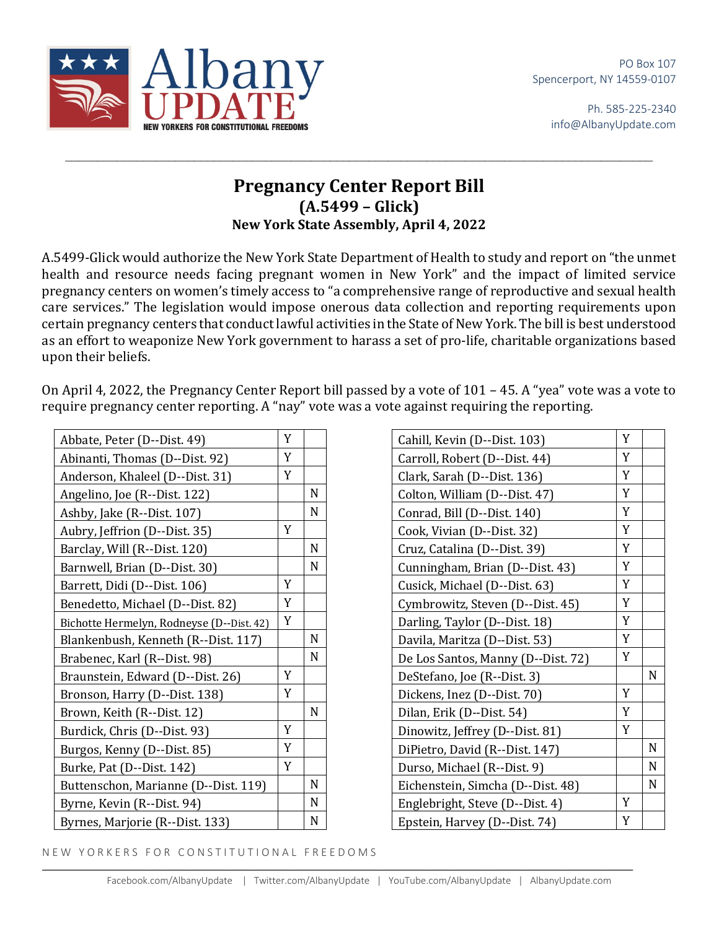

Ph. 585-225-2340 info@AlbanyUpdate.com



## **Pregnancy Center Report Bill (A.5499 – Glick) New York State Assembly, April 4, 2022**

 $\_$ 

A.5499-Glick would authorize the New York State Department of Health to study and report on "the unmet health and resource needs facing pregnant women in New York" and the impact of limited service pregnancy centers on women's timely access to "a comprehensive range of reproductive and sexual health care services." The legislation would impose onerous data collection and reporting requirements upon certain pregnancy centers that conduct lawful activities in the State of New York. The bill is best understood as an effort to weaponize New York government to harass a set of pro-life, charitable organizations based upon their beliefs.

On April 4, 2022, the Pregnancy Center Report bill passed by a vote of 101 – 45. A "yea" vote was a vote to require pregnancy center reporting. A "nay" vote was a vote against requiring the reporting.

| Abbate, Peter (D--Dist. 49)               | Y |             |
|-------------------------------------------|---|-------------|
| Abinanti, Thomas (D--Dist. 92)            | Y |             |
| Anderson, Khaleel (D--Dist. 31)           | Y |             |
| Angelino, Joe (R--Dist. 122)              |   | N           |
| Ashby, Jake (R--Dist. 107)                |   | N           |
| Aubry, Jeffrion (D--Dist. 35)             | Y |             |
| Barclay, Will (R--Dist. 120)              |   | N           |
| Barnwell, Brian (D--Dist. 30)             |   | N           |
| Barrett, Didi (D--Dist. 106)              | Y |             |
| Benedetto, Michael (D--Dist. 82)          | Y |             |
| Bichotte Hermelyn, Rodneyse (D--Dist. 42) | Y |             |
| Blankenbush, Kenneth (R--Dist. 117)       |   | N           |
| Brabenec, Karl (R--Dist. 98)              |   | N           |
| Braunstein, Edward (D--Dist. 26)          | Y |             |
| Bronson, Harry (D--Dist. 138)             | Y |             |
| Brown, Keith (R--Dist. 12)                |   | N           |
| Burdick, Chris (D--Dist. 93)              | Y |             |
| Burgos, Kenny (D--Dist. 85)               | Y |             |
| Burke, Pat (D--Dist. 142)                 | Y |             |
| Buttenschon, Marianne (D--Dist. 119)      |   | $\mathbf N$ |
| Byrne, Kevin (R--Dist. 94)                |   | N           |
| Byrnes, Marjorie (R--Dist. 133)           |   | $\mathbf N$ |

| Cahill, Kevin (D--Dist. 103)       | Y |   |
|------------------------------------|---|---|
| Carroll, Robert (D--Dist. 44)      | Y |   |
| Clark, Sarah (D--Dist. 136)        | Y |   |
| Colton, William (D--Dist. 47)      | Y |   |
| Conrad, Bill (D--Dist. 140)        | Y |   |
| Cook, Vivian (D--Dist. 32)         | Y |   |
| Cruz, Catalina (D--Dist. 39)       | Y |   |
| Cunningham, Brian (D--Dist. 43)    | Y |   |
| Cusick, Michael (D--Dist. 63)      | Y |   |
| Cymbrowitz, Steven (D--Dist. 45)   | Y |   |
| Darling, Taylor (D--Dist. 18)      | Y |   |
| Davila, Maritza (D--Dist. 53)      | Y |   |
| De Los Santos, Manny (D--Dist. 72) | Y |   |
| DeStefano, Joe (R--Dist. 3)        |   | N |
| Dickens, Inez (D--Dist. 70)        | Y |   |
| Dilan, Erik (D--Dist. 54)          | Y |   |
| Dinowitz, Jeffrey (D--Dist. 81)    | Y |   |
| DiPietro, David (R--Dist. 147)     |   | N |
| Durso, Michael (R--Dist. 9)        |   | N |
| Eichenstein, Simcha (D--Dist. 48)  |   | N |
| Englebright, Steve (D--Dist. 4)    | Y |   |
| Epstein, Harvey (D--Dist. 74)      | Y |   |

NEW YORKERS FOR CONSTITUTIONAL FREEDOMS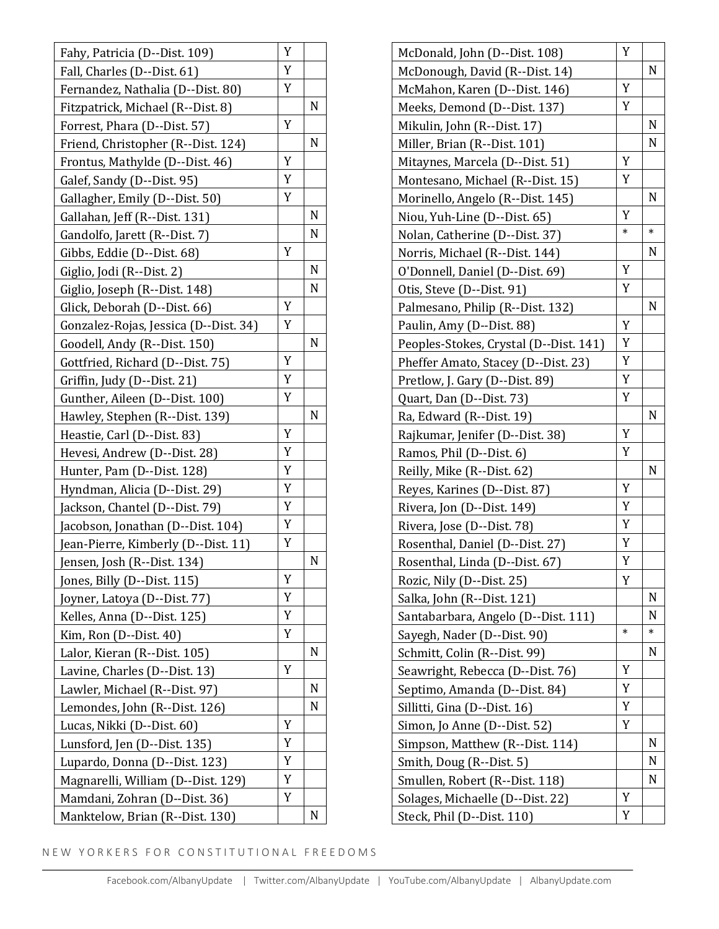| Fahy, Patricia (D--Dist. 109)         | Y |   |
|---------------------------------------|---|---|
| Fall, Charles (D--Dist. 61)           | Y |   |
| Fernandez, Nathalia (D--Dist. 80)     | Y |   |
| Fitzpatrick, Michael (R--Dist. 8)     |   | N |
| Forrest, Phara (D--Dist. 57)          | Y |   |
| Friend, Christopher (R--Dist. 124)    |   | N |
| Frontus, Mathylde (D--Dist. 46)       | Y |   |
| Galef, Sandy (D--Dist. 95)            | Y |   |
| Gallagher, Emily (D--Dist. 50)        | Y |   |
| Gallahan, Jeff (R--Dist. 131)         |   | N |
| Gandolfo, Jarett (R--Dist. 7)         |   | N |
| Gibbs, Eddie (D--Dist. 68)            | Y |   |
| Giglio, Jodi (R--Dist. 2)             |   | N |
| Giglio, Joseph (R--Dist. 148)         |   | N |
| Glick, Deborah (D--Dist. 66)          | Y |   |
| Gonzalez-Rojas, Jessica (D--Dist. 34) | Y |   |
| Goodell, Andy (R--Dist. 150)          |   | N |
| Gottfried, Richard (D--Dist. 75)      | Y |   |
| Griffin, Judy (D--Dist. 21)           | Y |   |
| Gunther, Aileen (D--Dist. 100)        | Y |   |
| Hawley, Stephen (R--Dist. 139)        |   | N |
| Heastie, Carl (D--Dist. 83)           | Y |   |
| Hevesi, Andrew (D--Dist. 28)          | Y |   |
| Hunter, Pam (D--Dist. 128)            | Y |   |
| Hyndman, Alicia (D--Dist. 29)         | Y |   |
| Jackson, Chantel (D--Dist. 79)        | Y |   |
| Jacobson, Jonathan (D--Dist. 104)     | Y |   |
| Jean-Pierre, Kimberly (D--Dist. 11)   | Y |   |
| Jensen, Josh (R--Dist. 134)           |   | N |
| Jones, Billy (D--Dist. 115)           | Y |   |
| Joyner, Latoya (D--Dist. 77)          | Y |   |
| Kelles, Anna (D--Dist. 125)           | Y |   |
| Kim, Ron (D--Dist. 40)                | Y |   |
| Lalor, Kieran (R--Dist. 105)          |   | N |
| Lavine, Charles (D--Dist. 13)         | Y |   |
| Lawler, Michael (R--Dist. 97)         |   | N |
| Lemondes, John (R--Dist. 126)         |   | N |
| Lucas, Nikki (D--Dist. 60)            | Y |   |
| Lunsford, Jen (D--Dist. 135)          | Y |   |
| Lupardo, Donna (D--Dist. 123)         | Y |   |
| Magnarelli, William (D--Dist. 129)    | Y |   |
| Mamdani, Zohran (D--Dist. 36)         | Y |   |
| Manktelow, Brian (R--Dist. 130)       |   | N |

| McDonald, John (D--Dist. 108)          | Y      |        |
|----------------------------------------|--------|--------|
| McDonough, David (R--Dist. 14)         |        | N      |
| McMahon, Karen (D--Dist. 146)          | Y      |        |
| Meeks, Demond (D--Dist. 137)           | Y      |        |
| Mikulin, John (R--Dist. 17)            |        | N      |
| Miller, Brian (R--Dist. 101)           |        | N      |
| Mitaynes, Marcela (D--Dist. 51)        | Y      |        |
| Montesano, Michael (R--Dist. 15)       | Y      |        |
| Morinello, Angelo (R--Dist. 145)       |        | N      |
| Niou, Yuh-Line (D--Dist. 65)           | Y      |        |
| Nolan, Catherine (D--Dist. 37)         | $\ast$ | $\ast$ |
| Norris, Michael (R--Dist. 144)         |        | N      |
| O'Donnell, Daniel (D--Dist. 69)        | Y      |        |
| Otis, Steve (D--Dist. 91)              | Y      |        |
| Palmesano, Philip (R--Dist. 132)       |        | N      |
| Paulin, Amy (D--Dist. 88)              | Y      |        |
| Peoples-Stokes, Crystal (D--Dist. 141) | Y      |        |
| Pheffer Amato, Stacey (D--Dist. 23)    | Y      |        |
| Pretlow, J. Gary (D--Dist. 89)         | Y      |        |
| Quart, Dan (D--Dist. 73)               | Y      |        |
| Ra, Edward (R--Dist. 19)               |        | N      |
| Rajkumar, Jenifer (D--Dist. 38)        | Y      |        |
| Ramos, Phil (D--Dist. 6)               | Y      |        |
| Reilly, Mike (R--Dist. 62)             |        | N      |
| Reyes, Karines (D--Dist. 87)           | Y      |        |
| Rivera, Jon (D--Dist. 149)             | Y      |        |
| Rivera, Jose (D--Dist. 78)             | Y      |        |
| Rosenthal, Daniel (D--Dist. 27)        | Y      |        |
| Rosenthal, Linda (D--Dist. 67)         | Y      |        |
| Rozic, Nily (D--Dist. 25)              | Y      |        |
| Salka, John (R--Dist. 121)             |        | N      |
| Santabarbara, Angelo (D--Dist. 111)    |        | N      |
| Sayegh, Nader (D--Dist. 90)            | $\ast$ | *      |
| Schmitt, Colin (R--Dist. 99)           |        | N      |
| Seawright, Rebecca (D--Dist. 76)       | Y      |        |
| Septimo, Amanda (D--Dist. 84)          | Y      |        |
| Sillitti, Gina (D--Dist. 16)           | Y      |        |
| Simon, Jo Anne (D--Dist. 52)           | Y      |        |
| Simpson, Matthew (R--Dist. 114)        |        | N      |
| Smith, Doug (R--Dist. 5)               |        | N      |
| Smullen, Robert (R--Dist. 118)         |        | N      |
| Solages, Michaelle (D--Dist. 22)       | Y      |        |
| Steck, Phil (D--Dist. 110)             | Y      |        |

NEW YORKERS FOR CONSTITUTIONAL FREEDOMS